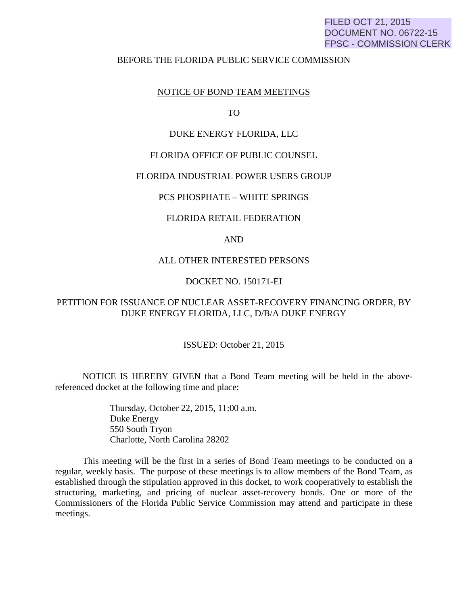# FILED OCT 21, 2015 DOCUMENT NO. 06722-15 FPSC - COMMISSION CLERK

#### BEFORE THE FLORIDA PUBLIC SERVICE COMMISSION

### NOTICE OF BOND TEAM MEETINGS

TO

## DUKE ENERGY FLORIDA, LLC

### FLORIDA OFFICE OF PUBLIC COUNSEL

### FLORIDA INDUSTRIAL POWER USERS GROUP

### PCS PHOSPHATE – WHITE SPRINGS

### FLORIDA RETAIL FEDERATION

# AND

#### ALL OTHER INTERESTED PERSONS

## DOCKET NO. 150171-EI

# PETITION FOR ISSUANCE OF NUCLEAR ASSET-RECOVERY FINANCING ORDER, BY DUKE ENERGY FLORIDA, LLC, D/B/A DUKE ENERGY

#### ISSUED: October 21, 2015

 NOTICE IS HEREBY GIVEN that a Bond Team meeting will be held in the abovereferenced docket at the following time and place:

> Thursday, October 22, 2015, 11:00 a.m. Duke Energy 550 South Tryon Charlotte, North Carolina 28202

 This meeting will be the first in a series of Bond Team meetings to be conducted on a regular, weekly basis. The purpose of these meetings is to allow members of the Bond Team, as established through the stipulation approved in this docket, to work cooperatively to establish the structuring, marketing, and pricing of nuclear asset-recovery bonds. One or more of the Commissioners of the Florida Public Service Commission may attend and participate in these meetings.